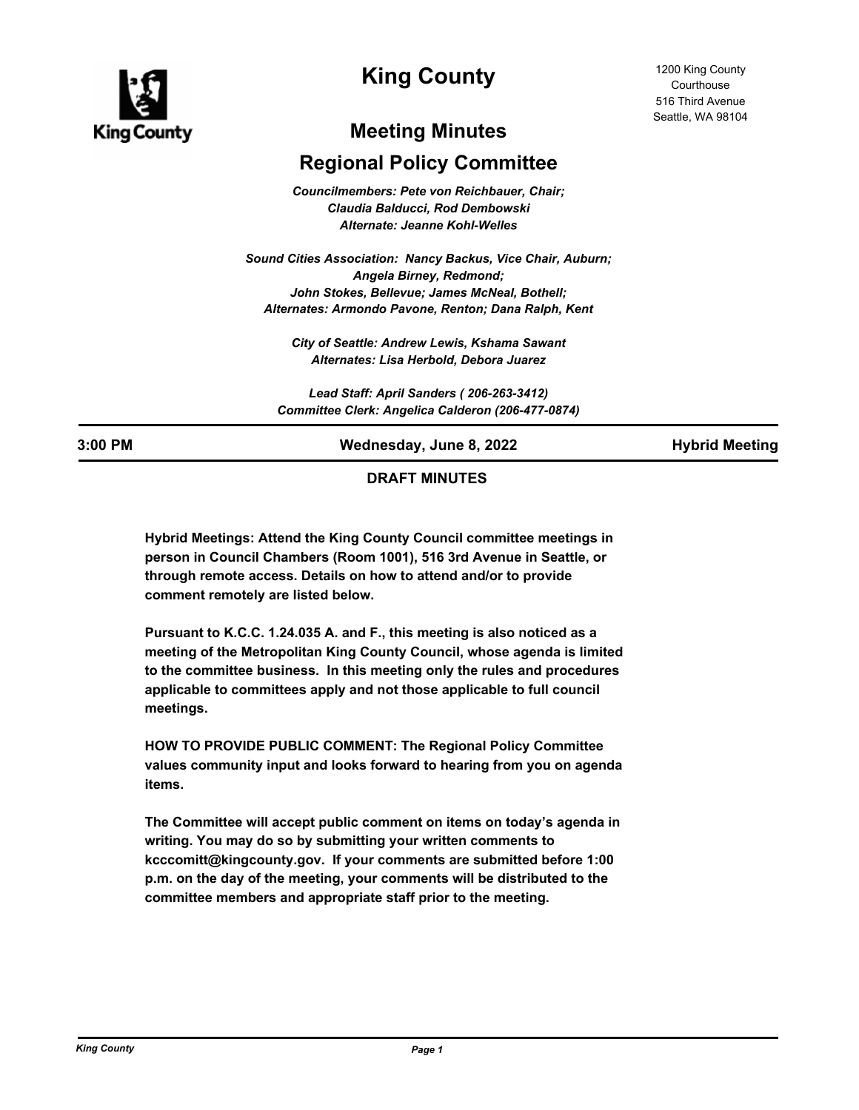

# **King County**

# **Meeting Minutes**

# **Regional Policy Committee**

*Councilmembers: Pete von Reichbauer, Chair; Claudia Balducci, Rod Dembowski Alternate: Jeanne Kohl-Welles*

*Sound Cities Association: Nancy Backus, Vice Chair, Auburn; Angela Birney, Redmond; John Stokes, Bellevue; James McNeal, Bothell; Alternates: Armondo Pavone, Renton; Dana Ralph, Kent*

> *City of Seattle: Andrew Lewis, Kshama Sawant Alternates: Lisa Herbold, Debora Juarez*

*Lead Staff: April Sanders ( 206-263-3412) Committee Clerk: Angelica Calderon (206-477-0874)*

**3:00 PM Wednesday, June 8, 2022 Hybrid Meeting**

# **DRAFT MINUTES**

**Hybrid Meetings: Attend the King County Council committee meetings in person in Council Chambers (Room 1001), 516 3rd Avenue in Seattle, or through remote access. Details on how to attend and/or to provide comment remotely are listed below.**

**Pursuant to K.C.C. 1.24.035 A. and F., this meeting is also noticed as a meeting of the Metropolitan King County Council, whose agenda is limited to the committee business. In this meeting only the rules and procedures applicable to committees apply and not those applicable to full council meetings.**

**HOW TO PROVIDE PUBLIC COMMENT: The Regional Policy Committee values community input and looks forward to hearing from you on agenda items.** 

**The Committee will accept public comment on items on today's agenda in writing. You may do so by submitting your written comments to kcccomitt@kingcounty.gov. If your comments are submitted before 1:00 p.m. on the day of the meeting, your comments will be distributed to the committee members and appropriate staff prior to the meeting.**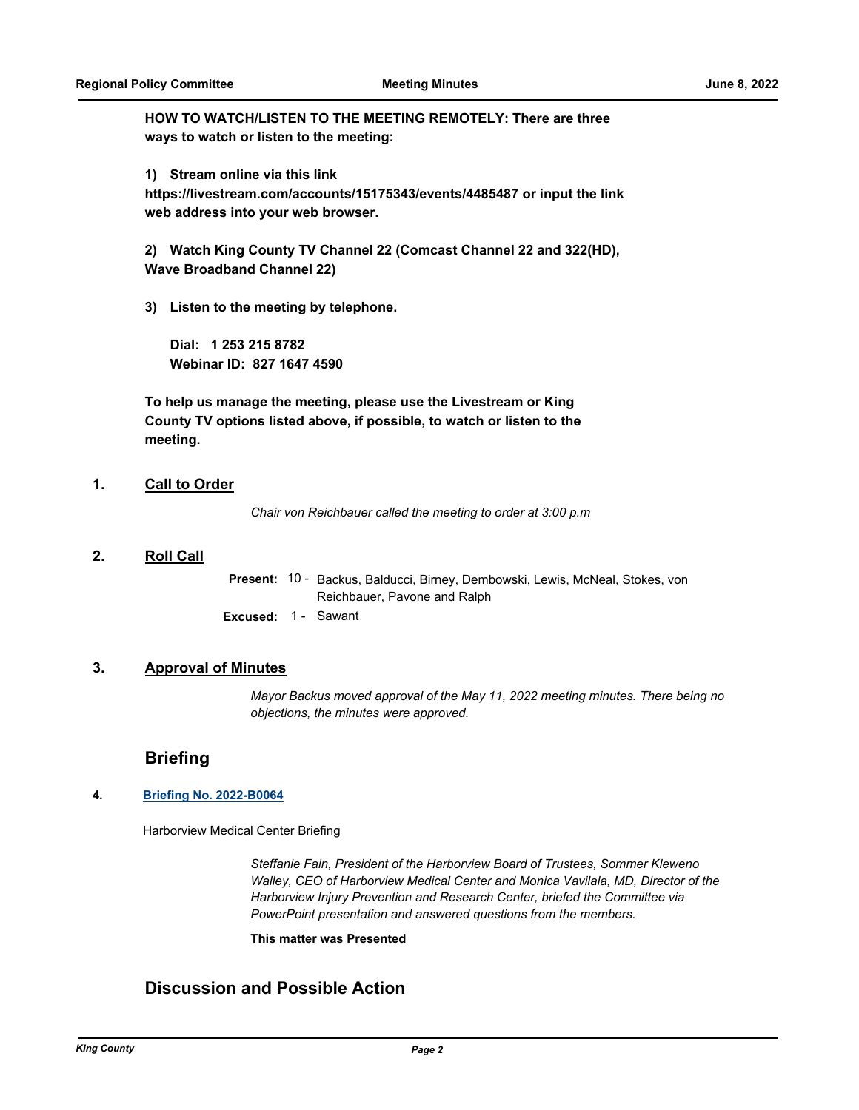**HOW TO WATCH/LISTEN TO THE MEETING REMOTELY: There are three ways to watch or listen to the meeting:**

**1) Stream online via this link** 

**https://livestream.com/accounts/15175343/events/4485487 or input the link web address into your web browser.**

**2) Watch King County TV Channel 22 (Comcast Channel 22 and 322(HD), Wave Broadband Channel 22)**

**3) Listen to the meeting by telephone.**

**Dial: 1 253 215 8782 Webinar ID: 827 1647 4590**

**To help us manage the meeting, please use the Livestream or King County TV options listed above, if possible, to watch or listen to the meeting.**

### **1. Call to Order**

*Chair von Reichbauer called the meeting to order at 3:00 p.m*

### **2. Roll Call**

Present: 10 - Backus, Balducci, Birney, Dembowski, Lewis, McNeal, Stokes, von Reichbauer, Pavone and Ralph **Excused:** 1 - Sawant

#### **3. Approval of Minutes**

*Mayor Backus moved approval of the May 11, 2022 meeting minutes. There being no objections, the minutes were approved.*

# **Briefing**

#### **4. [Briefing No. 2022-B0064](http://kingcounty.legistar.com/gateway.aspx?m=l&id=/matter.aspx?key=23091)**

Harborview Medical Center Briefing

*Steffanie Fain, President of the Harborview Board of Trustees, Sommer Kleweno Walley, CEO of Harborview Medical Center and Monica Vavilala, MD, Director of the Harborview Injury Prevention and Research Center, briefed the Committee via PowerPoint presentation and answered questions from the members.*

#### **This matter was Presented**

# **Discussion and Possible Action**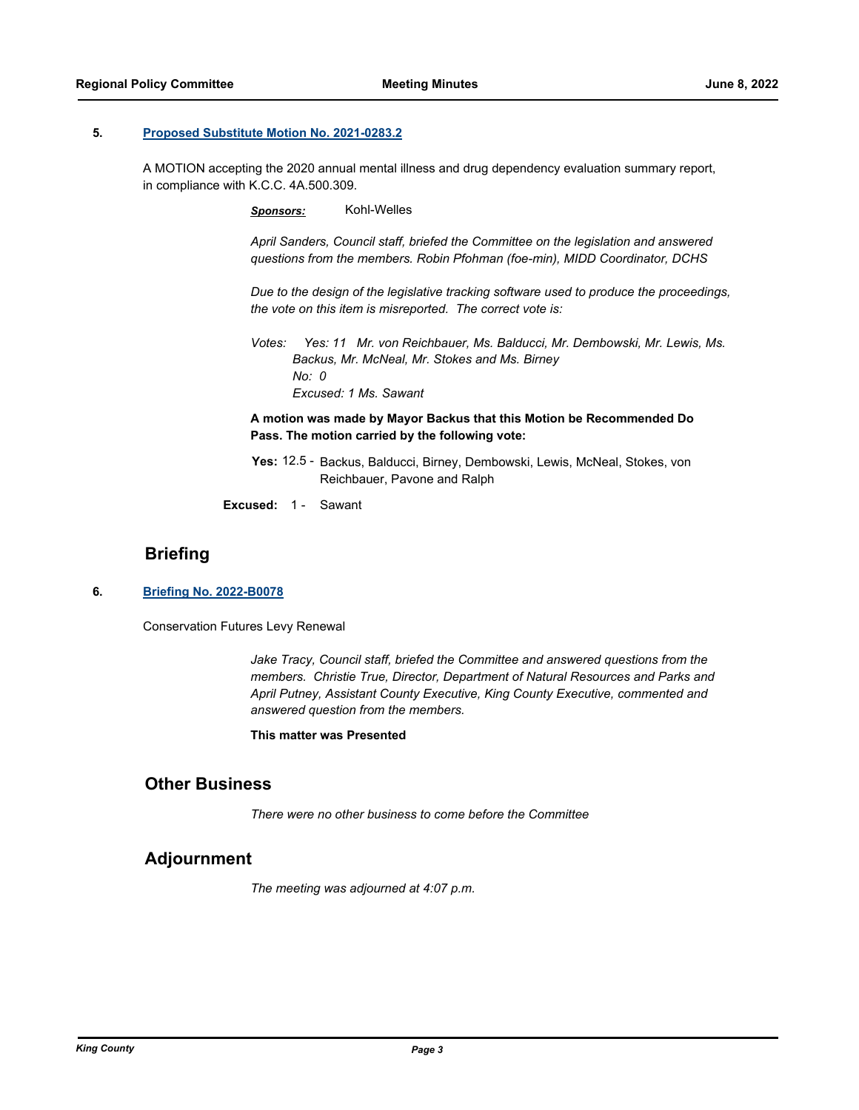#### **5. [Proposed Substitute Motion No. 2021-0283.2](http://kingcounty.legistar.com/gateway.aspx?m=l&id=/matter.aspx?key=22349)**

A MOTION accepting the 2020 annual mental illness and drug dependency evaluation summary report, in compliance with K.C.C. 4A.500.309.

*Sponsors:* Kohl-Welles

*April Sanders, Council staff, briefed the Committee on the legislation and answered questions from the members. Robin Pfohman (foe-min), MIDD Coordinator, DCHS*

*Due to the design of the legislative tracking software used to produce the proceedings, the vote on this item is misreported. The correct vote is:*

*Votes: Yes: 11 Mr. von Reichbauer, Ms. Balducci, Mr. Dembowski, Mr. Lewis, Ms. Backus, Mr. McNeal, Mr. Stokes and Ms. Birney No: 0 Excused: 1 Ms. Sawant*

**A motion was made by Mayor Backus that this Motion be Recommended Do Pass. The motion carried by the following vote:**

- Yes: 12.5 Backus, Balducci, Birney, Dembowski, Lewis, McNeal, Stokes, von Reichbauer, Pavone and Ralph
- **Excused:** 1 Sawant

## **Briefing**

**6. [Briefing No. 2022-B0078](http://kingcounty.legistar.com/gateway.aspx?m=l&id=/matter.aspx?key=23160)**

Conservation Futures Levy Renewal

*Jake Tracy, Council staff, briefed the Committee and answered questions from the members. Christie True, Director, Department of Natural Resources and Parks and April Putney, Assistant County Executive, King County Executive, commented and answered question from the members.*

#### **This matter was Presented**

# **Other Business**

*There were no other business to come before the Committee*

### **Adjournment**

*The meeting was adjourned at 4:07 p.m.*